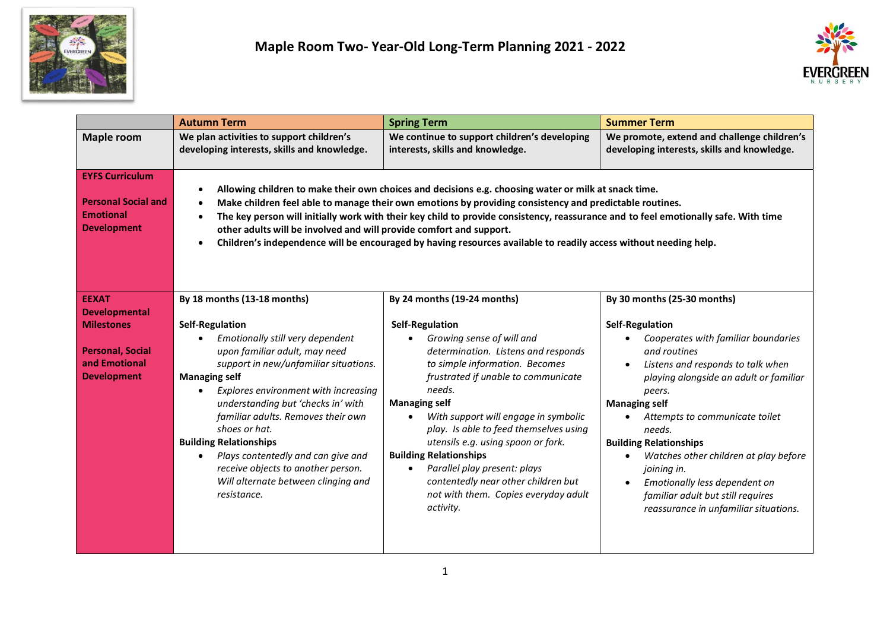



|                                                                                                | <b>Autumn Term</b>                                                                                                                                                                                                                                                                                                                                                                                                                                                                                                                                | <b>Spring Term</b>                                                                                                                                                                                                                                                                                                                                                                                                                                                                                      | <b>Summer Term</b>                                                                                                                                                                                                                                                                                                                                                                                                                                                                        |
|------------------------------------------------------------------------------------------------|---------------------------------------------------------------------------------------------------------------------------------------------------------------------------------------------------------------------------------------------------------------------------------------------------------------------------------------------------------------------------------------------------------------------------------------------------------------------------------------------------------------------------------------------------|---------------------------------------------------------------------------------------------------------------------------------------------------------------------------------------------------------------------------------------------------------------------------------------------------------------------------------------------------------------------------------------------------------------------------------------------------------------------------------------------------------|-------------------------------------------------------------------------------------------------------------------------------------------------------------------------------------------------------------------------------------------------------------------------------------------------------------------------------------------------------------------------------------------------------------------------------------------------------------------------------------------|
| <b>Maple room</b>                                                                              | We plan activities to support children's<br>developing interests, skills and knowledge.                                                                                                                                                                                                                                                                                                                                                                                                                                                           | We continue to support children's developing<br>interests, skills and knowledge.                                                                                                                                                                                                                                                                                                                                                                                                                        | We promote, extend and challenge children's<br>developing interests, skills and knowledge.                                                                                                                                                                                                                                                                                                                                                                                                |
| <b>EYFS Curriculum</b><br><b>Personal Social and</b><br><b>Emotional</b><br><b>Development</b> | Allowing children to make their own choices and decisions e.g. choosing water or milk at snack time.<br>Make children feel able to manage their own emotions by providing consistency and predictable routines.<br>The key person will initially work with their key child to provide consistency, reassurance and to feel emotionally safe. With time<br>other adults will be involved and will provide comfort and support.<br>Children's independence will be encouraged by having resources available to readily access without needing help. |                                                                                                                                                                                                                                                                                                                                                                                                                                                                                                         |                                                                                                                                                                                                                                                                                                                                                                                                                                                                                           |
| <b>EEXAT</b>                                                                                   | By 18 months (13-18 months)                                                                                                                                                                                                                                                                                                                                                                                                                                                                                                                       | By 24 months (19-24 months)                                                                                                                                                                                                                                                                                                                                                                                                                                                                             | By 30 months (25-30 months)                                                                                                                                                                                                                                                                                                                                                                                                                                                               |
| <b>Developmental</b>                                                                           |                                                                                                                                                                                                                                                                                                                                                                                                                                                                                                                                                   |                                                                                                                                                                                                                                                                                                                                                                                                                                                                                                         |                                                                                                                                                                                                                                                                                                                                                                                                                                                                                           |
| <b>Milestones</b><br><b>Personal, Social</b><br>and Emotional<br><b>Development</b>            | <b>Self-Regulation</b><br>Emotionally still very dependent<br>upon familiar adult, may need<br>support in new/unfamiliar situations.<br><b>Managing self</b><br>Explores environment with increasing<br>understanding but 'checks in' with<br>familiar adults. Removes their own<br>shoes or hat.<br><b>Building Relationships</b><br>Plays contentedly and can give and<br>receive objects to another person.<br>Will alternate between clinging and<br>resistance.                                                                              | <b>Self-Regulation</b><br>Growing sense of will and<br>determination. Listens and responds<br>to simple information. Becomes<br>frustrated if unable to communicate<br>needs.<br><b>Managing self</b><br>With support will engage in symbolic<br>$\bullet$<br>play. Is able to feed themselves using<br>utensils e.g. using spoon or fork.<br><b>Building Relationships</b><br>Parallel play present: plays<br>contentedly near other children but<br>not with them. Copies everyday adult<br>activity. | <b>Self-Regulation</b><br>Cooperates with familiar boundaries<br>and routines<br>Listens and responds to talk when<br>$\bullet$<br>playing alongside an adult or familiar<br>peers.<br><b>Managing self</b><br>Attempts to communicate toilet<br>needs.<br><b>Building Relationships</b><br>Watches other children at play before<br>$\bullet$<br>joining in.<br>Emotionally less dependent on<br>$\bullet$<br>familiar adult but still requires<br>reassurance in unfamiliar situations. |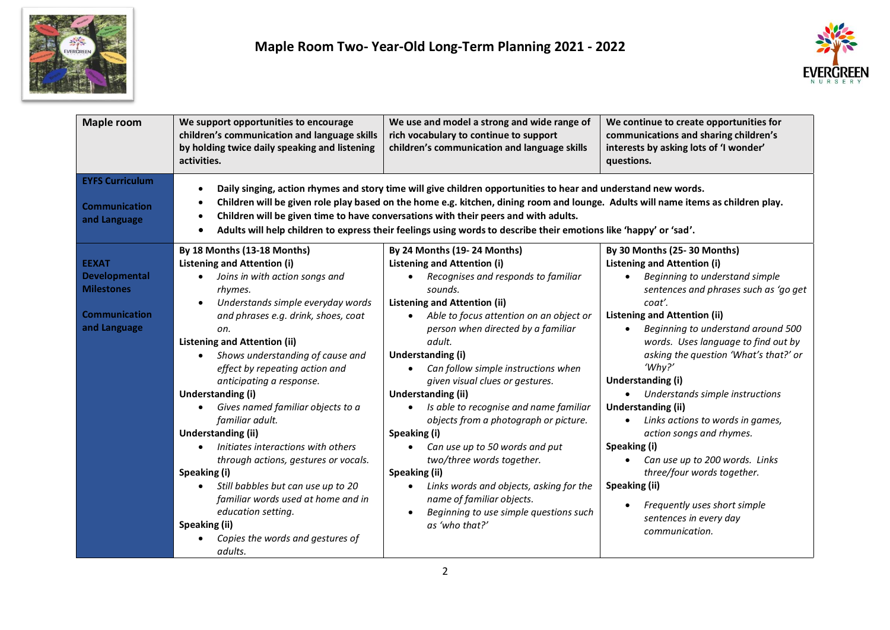



| <b>Maple room</b>                                                                          | We support opportunities to encourage<br>children's communication and language skills<br>by holding twice daily speaking and listening<br>activities.                                                                                                                                                                                                                                                                                                                                                                                                                                                                                                                 | We use and model a strong and wide range of<br>rich vocabulary to continue to support<br>children's communication and language skills                                                                                                                                                                                                                                                                                                                                                                                                                                                                                                                                                                                                                 | We continue to create opportunities for<br>communications and sharing children's<br>interests by asking lots of 'I wonder'<br>questions.                                                                                                                                                                                                                                                                                                                                                                                                                                                                                                                                                 |
|--------------------------------------------------------------------------------------------|-----------------------------------------------------------------------------------------------------------------------------------------------------------------------------------------------------------------------------------------------------------------------------------------------------------------------------------------------------------------------------------------------------------------------------------------------------------------------------------------------------------------------------------------------------------------------------------------------------------------------------------------------------------------------|-------------------------------------------------------------------------------------------------------------------------------------------------------------------------------------------------------------------------------------------------------------------------------------------------------------------------------------------------------------------------------------------------------------------------------------------------------------------------------------------------------------------------------------------------------------------------------------------------------------------------------------------------------------------------------------------------------------------------------------------------------|------------------------------------------------------------------------------------------------------------------------------------------------------------------------------------------------------------------------------------------------------------------------------------------------------------------------------------------------------------------------------------------------------------------------------------------------------------------------------------------------------------------------------------------------------------------------------------------------------------------------------------------------------------------------------------------|
| <b>EYFS Curriculum</b><br><b>Communication</b><br>and Language                             | $\bullet$                                                                                                                                                                                                                                                                                                                                                                                                                                                                                                                                                                                                                                                             | Daily singing, action rhymes and story time will give children opportunities to hear and understand new words.<br>Children will be given role play based on the home e.g. kitchen, dining room and lounge. Adults will name items as children play.<br>Children will be given time to have conversations with their peers and with adults.<br>Adults will help children to express their feelings using words to describe their emotions like 'happy' or 'sad'.                                                                                                                                                                                                                                                                                       |                                                                                                                                                                                                                                                                                                                                                                                                                                                                                                                                                                                                                                                                                          |
| <b>EEXAT</b><br>Developmental<br><b>Milestones</b><br><b>Communication</b><br>and Language | By 18 Months (13-18 Months)<br><b>Listening and Attention (i)</b><br>Joins in with action songs and<br>rhymes.<br>Understands simple everyday words<br>and phrases e.g. drink, shoes, coat<br>on.<br><b>Listening and Attention (ii)</b><br>Shows understanding of cause and<br>effect by repeating action and<br>anticipating a response.<br>Understanding (i)<br>Gives named familiar objects to a<br>familiar adult.<br><b>Understanding (ii)</b><br>Initiates interactions with others<br>through actions, gestures or vocals.<br>Speaking (i)<br>Still babbles but can use up to 20<br>familiar words used at home and in<br>education setting.<br>Speaking (ii) | By 24 Months (19-24 Months)<br><b>Listening and Attention (i)</b><br>Recognises and responds to familiar<br>$\bullet$<br>sounds.<br><b>Listening and Attention (ii)</b><br>Able to focus attention on an object or<br>$\bullet$<br>person when directed by a familiar<br>adult.<br>Understanding (i)<br>Can follow simple instructions when<br>given visual clues or gestures.<br>Understanding (ii)<br>Is able to recognise and name familiar<br>$\bullet$<br>objects from a photograph or picture.<br>Speaking (i)<br>Can use up to 50 words and put<br>two/three words together.<br>Speaking (ii)<br>Links words and objects, asking for the<br>$\bullet$<br>name of familiar objects.<br>Beginning to use simple questions such<br>as 'who that?' | By 30 Months (25-30 Months)<br><b>Listening and Attention (i)</b><br>Beginning to understand simple<br>$\bullet$<br>sentences and phrases such as 'go get<br>coat'.<br><b>Listening and Attention (ii)</b><br>Beginning to understand around 500<br>$\bullet$<br>words. Uses language to find out by<br>asking the question 'What's that?' or<br>$W$ hy?'<br>Understanding (i)<br>• Understands simple instructions<br><b>Understanding (ii)</b><br>Links actions to words in games,<br>$\bullet$<br>action songs and rhymes.<br>Speaking (i)<br>Can use up to 200 words. Links<br>three/four words together.<br>Speaking (ii)<br>Frequently uses short simple<br>sentences in every day |
|                                                                                            | Copies the words and gestures of<br>adults.                                                                                                                                                                                                                                                                                                                                                                                                                                                                                                                                                                                                                           |                                                                                                                                                                                                                                                                                                                                                                                                                                                                                                                                                                                                                                                                                                                                                       | communication.                                                                                                                                                                                                                                                                                                                                                                                                                                                                                                                                                                                                                                                                           |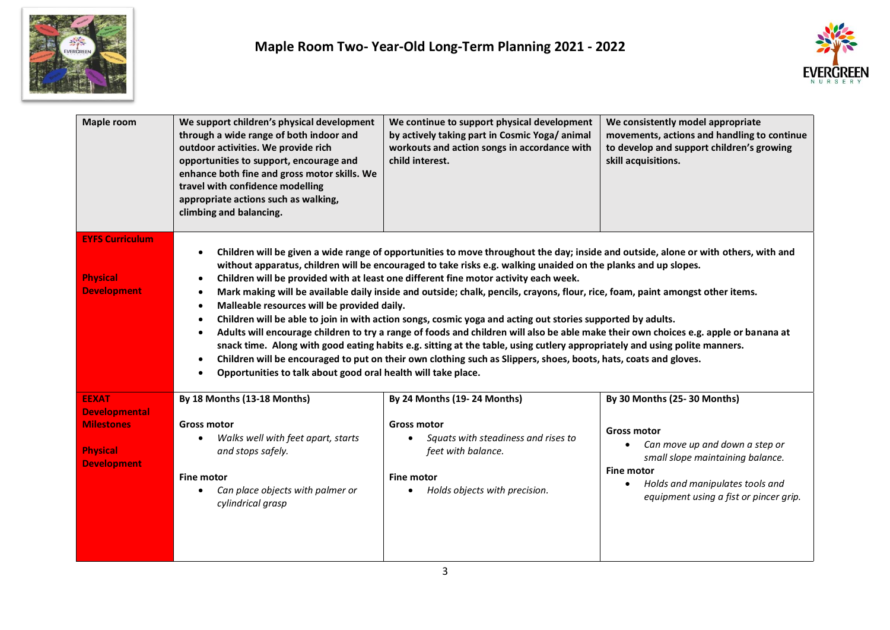



| <b>Maple room</b>                                                                                  | We support children's physical development<br>through a wide range of both indoor and<br>outdoor activities. We provide rich<br>opportunities to support, encourage and<br>enhance both fine and gross motor skills. We<br>travel with confidence modelling<br>appropriate actions such as walking,<br>climbing and balancing.                                                                                                                                                                                                                                                                                                                                                                                                                                                                                                                                                                                                                                                                                                                                                                           | We continue to support physical development<br>by actively taking part in Cosmic Yoga/animal<br>workouts and action songs in accordance with<br>child interest.      | We consistently model appropriate<br>movements, actions and handling to continue<br>to develop and support children's growing<br>skill acquisitions.                                                                                   |  |
|----------------------------------------------------------------------------------------------------|----------------------------------------------------------------------------------------------------------------------------------------------------------------------------------------------------------------------------------------------------------------------------------------------------------------------------------------------------------------------------------------------------------------------------------------------------------------------------------------------------------------------------------------------------------------------------------------------------------------------------------------------------------------------------------------------------------------------------------------------------------------------------------------------------------------------------------------------------------------------------------------------------------------------------------------------------------------------------------------------------------------------------------------------------------------------------------------------------------|----------------------------------------------------------------------------------------------------------------------------------------------------------------------|----------------------------------------------------------------------------------------------------------------------------------------------------------------------------------------------------------------------------------------|--|
| <b>EYFS Curriculum</b><br><b>Physical</b><br><b>Development</b>                                    | Children will be given a wide range of opportunities to move throughout the day; inside and outside, alone or with others, with and<br>without apparatus, children will be encouraged to take risks e.g. walking unaided on the planks and up slopes.<br>Children will be provided with at least one different fine motor activity each week.<br>Mark making will be available daily inside and outside; chalk, pencils, crayons, flour, rice, foam, paint amongst other items.<br>Malleable resources will be provided daily.<br>Children will be able to join in with action songs, cosmic yoga and acting out stories supported by adults.<br>Adults will encourage children to try a range of foods and children will also be able make their own choices e.g. apple or banana at<br>snack time. Along with good eating habits e.g. sitting at the table, using cutlery appropriately and using polite manners.<br>Children will be encouraged to put on their own clothing such as Slippers, shoes, boots, hats, coats and gloves.<br>Opportunities to talk about good oral health will take place. |                                                                                                                                                                      |                                                                                                                                                                                                                                        |  |
| <b>EEXAT</b><br><b>Developmental</b><br><b>Milestones</b><br><b>Physical</b><br><b>Development</b> | By 18 Months (13-18 Months)<br><b>Gross motor</b><br>Walks well with feet apart, starts<br>$\bullet$<br>and stops safely.<br><b>Fine motor</b><br>Can place objects with palmer or<br>cylindrical grasp                                                                                                                                                                                                                                                                                                                                                                                                                                                                                                                                                                                                                                                                                                                                                                                                                                                                                                  | By 24 Months (19-24 Months)<br><b>Gross motor</b><br>Squats with steadiness and rises to<br>feet with balance.<br><b>Fine motor</b><br>Holds objects with precision. | By 30 Months (25-30 Months)<br><b>Gross motor</b><br>Can move up and down a step or<br>small slope maintaining balance.<br><b>Fine motor</b><br>Holds and manipulates tools and<br>$\bullet$<br>equipment using a fist or pincer grip. |  |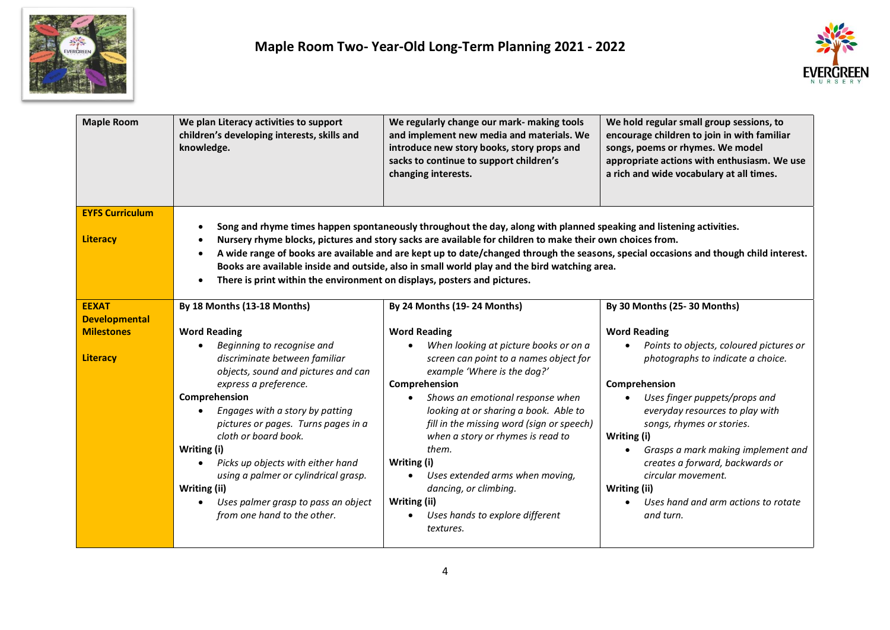



| <b>Maple Room</b>                         | We plan Literacy activities to support<br>children's developing interests, skills and<br>knowledge.                                                                                                                                                                                               | We regularly change our mark- making tools<br>and implement new media and materials. We<br>introduce new story books, story props and<br>sacks to continue to support children's<br>changing interests.                                                                                                                                                                                                                                                                   | We hold regular small group sessions, to<br>encourage children to join in with familiar<br>songs, poems or rhymes. We model<br>appropriate actions with enthusiasm. We use<br>a rich and wide vocabulary at all times.                                                                       |
|-------------------------------------------|---------------------------------------------------------------------------------------------------------------------------------------------------------------------------------------------------------------------------------------------------------------------------------------------------|---------------------------------------------------------------------------------------------------------------------------------------------------------------------------------------------------------------------------------------------------------------------------------------------------------------------------------------------------------------------------------------------------------------------------------------------------------------------------|----------------------------------------------------------------------------------------------------------------------------------------------------------------------------------------------------------------------------------------------------------------------------------------------|
| <b>EYFS Curriculum</b><br><b>Literacy</b> | There is print within the environment on displays, posters and pictures.                                                                                                                                                                                                                          | Song and rhyme times happen spontaneously throughout the day, along with planned speaking and listening activities.<br>Nursery rhyme blocks, pictures and story sacks are available for children to make their own choices from.<br>A wide range of books are available and are kept up to date/changed through the seasons, special occasions and though child interest.<br>Books are available inside and outside, also in small world play and the bird watching area. |                                                                                                                                                                                                                                                                                              |
| <b>EEXAT</b>                              | By 18 Months (13-18 Months)                                                                                                                                                                                                                                                                       | By 24 Months (19-24 Months)                                                                                                                                                                                                                                                                                                                                                                                                                                               | By 30 Months (25-30 Months)                                                                                                                                                                                                                                                                  |
| <b>Developmental</b>                      |                                                                                                                                                                                                                                                                                                   |                                                                                                                                                                                                                                                                                                                                                                                                                                                                           |                                                                                                                                                                                                                                                                                              |
| <b>Milestones</b>                         | <b>Word Reading</b>                                                                                                                                                                                                                                                                               | <b>Word Reading</b>                                                                                                                                                                                                                                                                                                                                                                                                                                                       | <b>Word Reading</b>                                                                                                                                                                                                                                                                          |
| <b>Literacy</b>                           | Beginning to recognise and<br>discriminate between familiar<br>objects, sound and pictures and can                                                                                                                                                                                                | When looking at picture books or on a<br>screen can point to a names object for<br>example 'Where is the dog?'                                                                                                                                                                                                                                                                                                                                                            | Points to objects, coloured pictures or<br>photographs to indicate a choice.                                                                                                                                                                                                                 |
|                                           | express a preference.                                                                                                                                                                                                                                                                             | Comprehension                                                                                                                                                                                                                                                                                                                                                                                                                                                             | Comprehension                                                                                                                                                                                                                                                                                |
|                                           | Comprehension<br>Engages with a story by patting<br>pictures or pages. Turns pages in a<br>cloth or board book.<br>Writing (i)<br>Picks up objects with either hand<br>using a palmer or cylindrical grasp.<br>Writing (ii)<br>Uses palmer grasp to pass an object<br>from one hand to the other. | Shows an emotional response when<br>$\bullet$<br>looking at or sharing a book. Able to<br>fill in the missing word (sign or speech)<br>when a story or rhymes is read to<br>them.<br>Writing (i)<br>Uses extended arms when moving,<br>$\bullet$<br>dancing, or climbing.<br>Writing (ii)<br>Uses hands to explore different<br>$\bullet$<br>textures.                                                                                                                    | Uses finger puppets/props and<br>$\bullet$<br>everyday resources to play with<br>songs, rhymes or stories.<br>Writing (i)<br>Grasps a mark making implement and<br>creates a forward, backwards or<br>circular movement.<br>Writing (ii)<br>Uses hand and arm actions to rotate<br>and turn. |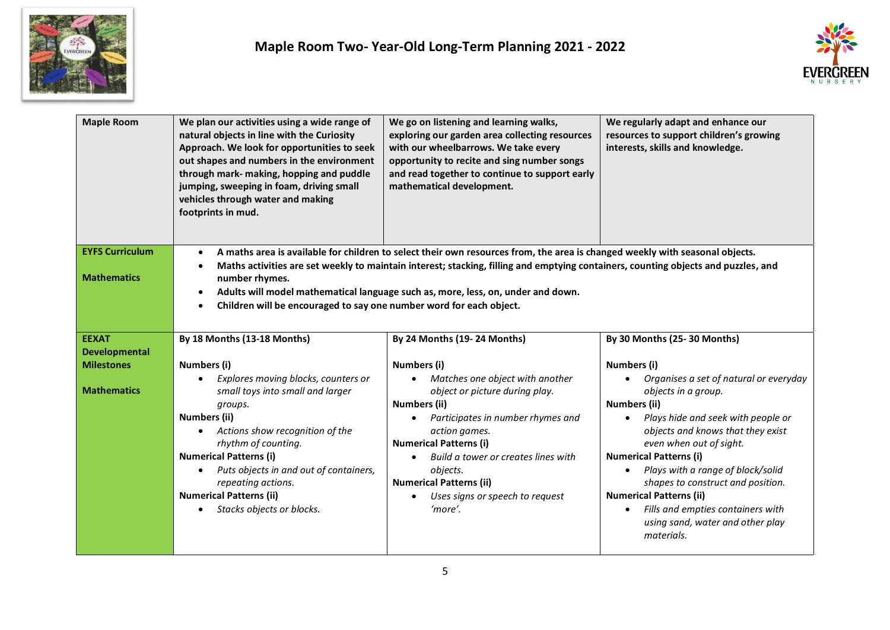



| <b>Maple Room</b>                                                               | We plan our activities using a wide range of<br>natural objects in line with the Curiosity<br>Approach. We look for opportunities to seek<br>out shapes and numbers in the environment<br>through mark- making, hopping and puddle<br>jumping, sweeping in foam, driving small<br>vehicles through water and making<br>footprints in mud.                                                                                                                                                           | We go on listening and learning walks,<br>exploring our garden area collecting resources<br>with our wheelbarrows. We take every<br>opportunity to recite and sing number songs<br>and read together to continue to support early<br>mathematical development.                                                                                                                                   | We regularly adapt and enhance our<br>resources to support children's growing<br>interests, skills and knowledge.                                                                                                                                                                                                                                                                                                                                                                                            |  |
|---------------------------------------------------------------------------------|-----------------------------------------------------------------------------------------------------------------------------------------------------------------------------------------------------------------------------------------------------------------------------------------------------------------------------------------------------------------------------------------------------------------------------------------------------------------------------------------------------|--------------------------------------------------------------------------------------------------------------------------------------------------------------------------------------------------------------------------------------------------------------------------------------------------------------------------------------------------------------------------------------------------|--------------------------------------------------------------------------------------------------------------------------------------------------------------------------------------------------------------------------------------------------------------------------------------------------------------------------------------------------------------------------------------------------------------------------------------------------------------------------------------------------------------|--|
| <b>EYFS Curriculum</b><br><b>Mathematics</b>                                    | A maths area is available for children to select their own resources from, the area is changed weekly with seasonal objects.<br>$\bullet$<br>Maths activities are set weekly to maintain interest; stacking, filling and emptying containers, counting objects and puzzles, and<br>$\bullet$<br>number rhymes.<br>Adults will model mathematical language such as, more, less, on, under and down.<br>$\bullet$<br>Children will be encouraged to say one number word for each object.<br>$\bullet$ |                                                                                                                                                                                                                                                                                                                                                                                                  |                                                                                                                                                                                                                                                                                                                                                                                                                                                                                                              |  |
| <b>EEXAT</b><br><b>Developmental</b><br><b>Milestones</b><br><b>Mathematics</b> | By 18 Months (13-18 Months)<br>Numbers (i)<br>Explores moving blocks, counters or<br>small toys into small and larger<br>groups.<br><b>Numbers (ii)</b><br>Actions show recognition of the<br>rhythm of counting.<br><b>Numerical Patterns (i)</b><br>Puts objects in and out of containers,<br>repeating actions.<br><b>Numerical Patterns (ii)</b><br>Stacks objects or blocks.                                                                                                                   | By 24 Months (19-24 Months)<br>Numbers (i)<br>Matches one object with another<br>$\bullet$<br>object or picture during play.<br>Numbers (ii)<br>Participates in number rhymes and<br>$\bullet$<br>action games.<br><b>Numerical Patterns (i)</b><br>Build a tower or creates lines with<br>objects.<br><b>Numerical Patterns (ii)</b><br>Uses signs or speech to request<br>$\bullet$<br>'more'. | By 30 Months (25-30 Months)<br>Numbers (i)<br>Organises a set of natural or everyday<br>objects in a group.<br>Numbers (ii)<br>Plays hide and seek with people or<br>$\bullet$<br>objects and knows that they exist<br>even when out of sight.<br><b>Numerical Patterns (i)</b><br>Plays with a range of block/solid<br>$\bullet$<br>shapes to construct and position.<br><b>Numerical Patterns (ii)</b><br>Fills and empties containers with<br>$\bullet$<br>using sand, water and other play<br>materials. |  |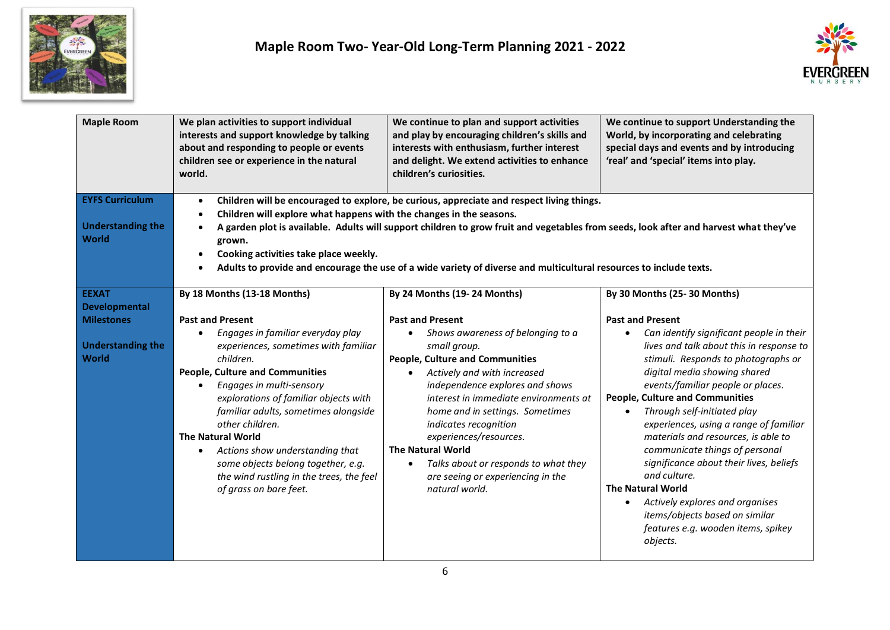



| <b>Maple Room</b>                        | We plan activities to support individual<br>interests and support knowledge by talking<br>about and responding to people or events<br>children see or experience in the natural<br>world.                                                                                                                                                                                                                       | We continue to plan and support activities<br>and play by encouraging children's skills and<br>interests with enthusiasm, further interest<br>and delight. We extend activities to enhance<br>children's curiosities. | We continue to support Understanding the<br>World, by incorporating and celebrating<br>special days and events and by introducing<br>'real' and 'special' items into play. |
|------------------------------------------|-----------------------------------------------------------------------------------------------------------------------------------------------------------------------------------------------------------------------------------------------------------------------------------------------------------------------------------------------------------------------------------------------------------------|-----------------------------------------------------------------------------------------------------------------------------------------------------------------------------------------------------------------------|----------------------------------------------------------------------------------------------------------------------------------------------------------------------------|
| <b>EYFS Curriculum</b>                   | $\bullet$                                                                                                                                                                                                                                                                                                                                                                                                       | Children will be encouraged to explore, be curious, appreciate and respect living things.                                                                                                                             |                                                                                                                                                                            |
| <b>Understanding the</b><br><b>World</b> | Children will explore what happens with the changes in the seasons.<br>$\bullet$<br>A garden plot is available. Adults will support children to grow fruit and vegetables from seeds, look after and harvest what they've<br>$\bullet$<br>grown.<br>Cooking activities take place weekly.<br>Adults to provide and encourage the use of a wide variety of diverse and multicultural resources to include texts. |                                                                                                                                                                                                                       |                                                                                                                                                                            |
| <b>EEXAT</b>                             | By 18 Months (13-18 Months)                                                                                                                                                                                                                                                                                                                                                                                     | By 24 Months (19-24 Months)                                                                                                                                                                                           | By 30 Months (25-30 Months)                                                                                                                                                |
| <b>Developmental</b>                     |                                                                                                                                                                                                                                                                                                                                                                                                                 |                                                                                                                                                                                                                       |                                                                                                                                                                            |
| <b>Milestones</b>                        | <b>Past and Present</b>                                                                                                                                                                                                                                                                                                                                                                                         | <b>Past and Present</b>                                                                                                                                                                                               | <b>Past and Present</b>                                                                                                                                                    |
| <b>Understanding the</b>                 | Engages in familiar everyday play<br>experiences, sometimes with familiar                                                                                                                                                                                                                                                                                                                                       | Shows awareness of belonging to a<br>small group.                                                                                                                                                                     | Can identify significant people in their<br>lives and talk about this in response to                                                                                       |
| <b>World</b>                             | children.                                                                                                                                                                                                                                                                                                                                                                                                       | <b>People, Culture and Communities</b>                                                                                                                                                                                | stimuli. Responds to photographs or                                                                                                                                        |
|                                          | <b>People, Culture and Communities</b>                                                                                                                                                                                                                                                                                                                                                                          | Actively and with increased<br>$\bullet$                                                                                                                                                                              | digital media showing shared                                                                                                                                               |
|                                          | Engages in multi-sensory                                                                                                                                                                                                                                                                                                                                                                                        | independence explores and shows                                                                                                                                                                                       | events/familiar people or places.                                                                                                                                          |
|                                          | explorations of familiar objects with                                                                                                                                                                                                                                                                                                                                                                           | interest in immediate environments at                                                                                                                                                                                 | <b>People, Culture and Communities</b>                                                                                                                                     |
|                                          | familiar adults, sometimes alongside<br>other children.                                                                                                                                                                                                                                                                                                                                                         | home and in settings. Sometimes                                                                                                                                                                                       | Through self-initiated play<br>$\bullet$                                                                                                                                   |
|                                          | <b>The Natural World</b>                                                                                                                                                                                                                                                                                                                                                                                        | indicates recognition<br>experiences/resources.                                                                                                                                                                       | experiences, using a range of familiar<br>materials and resources, is able to                                                                                              |
|                                          | Actions show understanding that<br>$\bullet$                                                                                                                                                                                                                                                                                                                                                                    | <b>The Natural World</b>                                                                                                                                                                                              | communicate things of personal                                                                                                                                             |
|                                          | some objects belong together, e.g.                                                                                                                                                                                                                                                                                                                                                                              | Talks about or responds to what they<br>$\bullet$                                                                                                                                                                     | significance about their lives, beliefs                                                                                                                                    |
|                                          | the wind rustling in the trees, the feel                                                                                                                                                                                                                                                                                                                                                                        | are seeing or experiencing in the                                                                                                                                                                                     | and culture.                                                                                                                                                               |
|                                          | of grass on bare feet.                                                                                                                                                                                                                                                                                                                                                                                          | natural world.                                                                                                                                                                                                        | <b>The Natural World</b>                                                                                                                                                   |
|                                          |                                                                                                                                                                                                                                                                                                                                                                                                                 |                                                                                                                                                                                                                       | Actively explores and organises<br>$\bullet$<br>items/objects based on similar                                                                                             |
|                                          |                                                                                                                                                                                                                                                                                                                                                                                                                 |                                                                                                                                                                                                                       | features e.g. wooden items, spikey                                                                                                                                         |
|                                          |                                                                                                                                                                                                                                                                                                                                                                                                                 |                                                                                                                                                                                                                       | objects.                                                                                                                                                                   |
|                                          |                                                                                                                                                                                                                                                                                                                                                                                                                 |                                                                                                                                                                                                                       |                                                                                                                                                                            |